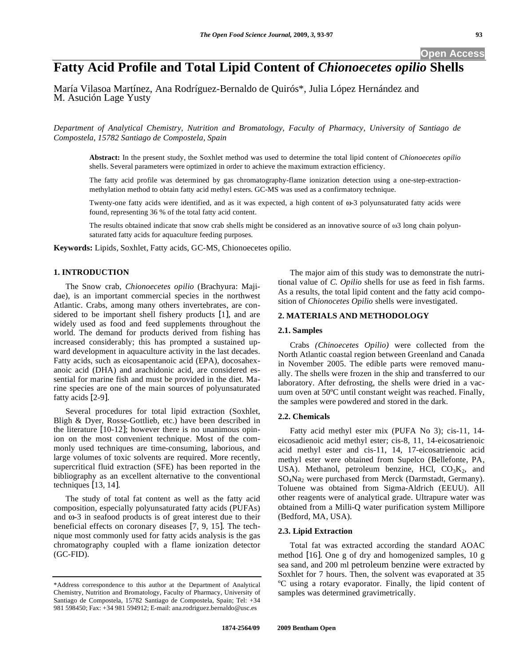# **Fatty Acid Profile and Total Lipid Content of** *Chionoecetes opilio* **Shells**

María Vilasoa Martínez, Ana Rodríguez-Bernaldo de Quirós\*, Julia López Hernández and M. Asución Lage Yusty

*Department of Analytical Chemistry, Nutrition and Bromatology, Faculty of Pharmacy, University of Santiago de Compostela, 15782 Santiago de Compostela, Spain* 

**Abstract:** In the present study, the Soxhlet method was used to determine the total lipid content of *Chionoecetes opilio*  shells. Several parameters were optimized in order to achieve the maximum extraction efficiency.

The fatty acid profile was determined by gas chromatography-flame ionization detection using a one-step-extractionmethylation method to obtain fatty acid methyl esters. GC-MS was used as a confirmatory technique.

Twenty-one fatty acids were identified, and as it was expected, a high content of  $\omega$ -3 polyunsaturated fatty acids were found, representing 36 % of the total fatty acid content.

The results obtained indicate that snow crab shells might be considered as an innovative source of  $\omega$ 3 long chain polyunsaturated fatty acids for aquaculture feeding purposes.

**Keywords:** Lipids, Soxhlet, Fatty acids, GC-MS, Chionoecetes opilio.

# **1. INTRODUCTION**

The Snow crab, *Chionoecetes opilio* (Brachyura: Majidae), is an important commercial species in the northwest Atlantic. Crabs, among many others invertebrates, are considered to be important shell fishery products [1], and are widely used as food and feed supplements throughout the world. The demand for products derived from fishing has increased considerably; this has prompted a sustained upward development in aquaculture activity in the last decades. Fatty acids, such as eicosapentanoic acid (EPA), docosahexanoic acid (DHA) and arachidonic acid, are considered essential for marine fish and must be provided in the diet. Marine species are one of the main sources of polyunsaturated fatty acids [2-9].

Several procedures for total lipid extraction (Soxhlet, Bligh & Dyer, Rosse-Gottlieb, etc.) have been described in the literature [10-12]; however there is no unanimous opinion on the most convenient technique. Most of the commonly used techniques are time-consuming, laborious, and large volumes of toxic solvents are required. More recently, supercritical fluid extraction (SFE) has been reported in the bibliography as an excellent alternative to the conventional techniques [13, 14].

The study of total fat content as well as the fatty acid composition, especially polyunsaturated fatty acids (PUFAs) and  $\omega$ -3 in seafood products is of great interest due to their beneficial effects on coronary diseases [7, 9, 15]. The technique most commonly used for fatty acids analysis is the gas chromatography coupled with a flame ionization detector (GC-FID).

The major aim of this study was to demonstrate the nutritional value of *C. Opilio* shells for use as feed in fish farms. As a results, the total lipid content and the fatty acid composition of *Chionocetes Opilio* shells were investigated.

## **2. MATERIALS AND METHODOLOGY**

#### **2.1. Samples**

Crabs *(Chinoecetes Opilio)* were collected from the North Atlantic coastal region between Greenland and Canada in November 2005. The edible parts were removed manually. The shells were frozen in the ship and transferred to our laboratory. After defrosting, the shells were dried in a vacuum oven at 50ºC until constant weight was reached. Finally, the samples were powdered and stored in the dark.

## **2.2. Chemicals**

Fatty acid methyl ester mix (PUFA No 3); cis-11, 14 eicosadienoic acid methyl ester; cis-8, 11, 14-eicosatrienoic acid methyl ester and cis-11, 14, 17-eicosatrienoic acid methyl ester were obtained from Supelco (Bellefonte, PA, USA). Methanol, petroleum benzine, HCl,  $CO<sub>3</sub>K<sub>2</sub>$ , and  $SO_4$ Na<sub>2</sub> were purchased from Merck (Darmstadt, Germany). Toluene was obtained from Sigma-Aldrich (EEUU). All other reagents were of analytical grade. Ultrapure water was obtained from a Milli-Q water purification system Millipore (Bedford, MA, USA).

## **2.3. Lipid Extraction**

Total fat was extracted according the standard AOAC method [16]. One g of dry and homogenized samples, 10 g sea sand, and 200 ml petroleum benzine were extracted by Soxhlet for 7 hours. Then, the solvent was evaporated at 35 ºC using a rotary evaporator. Finally, the lipid content of samples was determined gravimetrically.

<sup>\*</sup>Address correspondence to this author at the Department of Analytical Chemistry, Nutrition and Bromatology, Faculty of Pharmacy, University of Santiago de Compostela, 15782 Santiago de Compostela, Spain; Tel: +34 981 598450; Fax: +34 981 594912; E-mail: ana.rodriguez.bernaldo@usc.es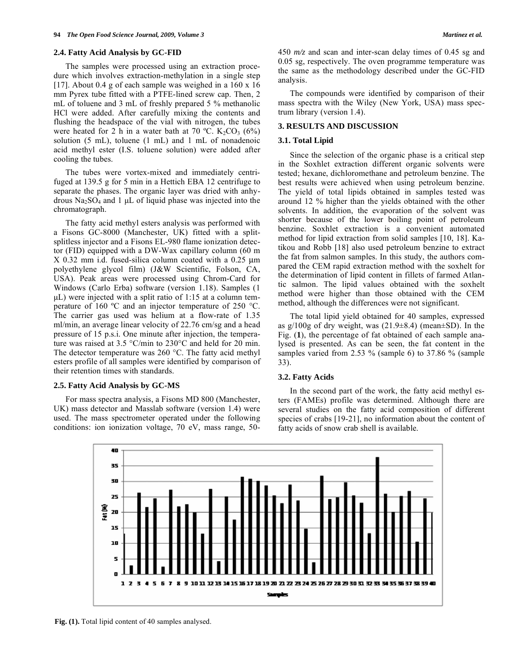#### **2.4. Fatty Acid Analysis by GC-FID**

The samples were processed using an extraction procedure which involves extraction-methylation in a single step [17]. About 0.4 g of each sample was weighed in a 160 x 16 mm Pyrex tube fitted with a PTFE-lined screw cap. Then, 2 mL of toluene and 3 mL of freshly prepared 5 % methanolic HCl were added. After carefully mixing the contents and flushing the headspace of the vial with nitrogen, the tubes were heated for 2 h in a water bath at 70 °C. K<sub>2</sub>CO<sub>3</sub> (6%) solution (5 mL), toluene (1 mL) and 1 mL of nonadenoic acid methyl ester (I.S. toluene solution) were added after cooling the tubes.

The tubes were vortex-mixed and immediately centrifuged at 139.5 g for 5 min in a Hettich EBA 12 centrifuge to separate the phases. The organic layer was dried with anhydrous Na<sub>2</sub>SO<sub>4</sub> and 1 μL of liquid phase was injected into the chromatograph.

The fatty acid methyl esters analysis was performed with a Fisons GC-8000 (Manchester, UK) fitted with a splitsplitless injector and a Fisons EL-980 flame ionization detector (FID) equipped with a DW-Wax capillary column (60 m X 0.32 mm i.d. fused-silica column coated with a 0.25 μm polyethylene glycol film) (J&W Scientific, Folson, CA, USA). Peak areas were processed using Chrom-Card for Windows (Carlo Erba) software (version 1.18). Samples (1 μL) were injected with a split ratio of 1:15 at a column temperature of 160 ºC and an injector temperature of 250 °C. The carrier gas used was helium at a flow-rate of 1.35 ml/min, an average linear velocity of 22.76 cm/sg and a head pressure of 15 p.s.i. One minute after injection, the temperature was raised at 3.5 °C/min to 230°C and held for 20 min. The detector temperature was 260 °C. The fatty acid methyl esters profile of all samples were identified by comparison of their retention times with standards.

#### **2.5. Fatty Acid Analysis by GC-MS**

For mass spectra analysis, a Fisons MD 800 (Manchester, UK) mass detector and Masslab software (version 1.4) were used. The mass spectrometer operated under the following conditions: ion ionization voltage, 70 eV, mass range, 50450 *m/z* and scan and inter-scan delay times of 0.45 sg and 0.05 sg, respectively. The oven programme temperature was the same as the methodology described under the GC-FID analysis.

The compounds were identified by comparison of their mass spectra with the Wiley (New York, USA) mass spectrum library (version 1.4).

## **3. RESULTS AND DISCUSSION**

#### **3.1. Total Lipid**

Since the selection of the organic phase is a critical step in the Soxhlet extraction different organic solvents were tested; hexane, dichloromethane and petroleum benzine. The best results were achieved when using petroleum benzine. The yield of total lipids obtained in samples tested was around 12 % higher than the yields obtained with the other solvents. In addition, the evaporation of the solvent was shorter because of the lower boiling point of petroleum benzine. Soxhlet extraction is a convenient automated method for lipid extraction from solid samples [10, 18]. Katikou and Robb [18] also used petroleum benzine to extract the fat from salmon samples. In this study, the authors compared the CEM rapid extraction method with the soxhelt for the determination of lipid content in fillets of farmed Atlantic salmon. The lipid values obtained with the soxhelt method were higher than those obtained with the CEM method, although the differences were not significant.

The total lipid yield obtained for 40 samples, expressed as  $g/100g$  of dry weight, was  $(21.9\pm8.4)$  (mean $\pm$ SD). In the Fig. (**1**), the percentage of fat obtained of each sample analysed is presented. As can be seen, the fat content in the samples varied from 2.53 % (sample 6) to 37.86 % (sample 33).

#### **3.2. Fatty Acids**

In the second part of the work, the fatty acid methyl esters (FAMEs) profile was determined. Although there are several studies on the fatty acid composition of different species of crabs [19-21], no information about the content of fatty acids of snow crab shell is available.



**Fig. (1).** Total lipid content of 40 samples analysed.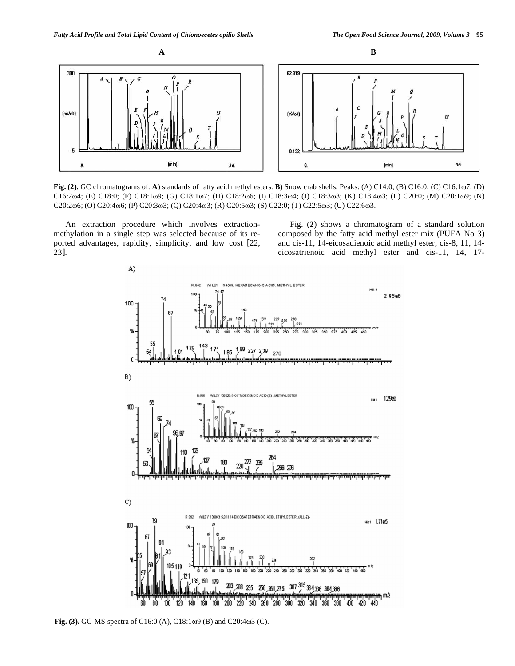

**Fig.** (2). GC chromatograms of: **A**) standards of fatty acid methyl esters. **B**) Snow crab shells. Peaks: (A) C14:0; (B) C16:0; (C) C16:1 $\omega$ 7; (D) C16:2ω4; (E) C18:0; (F) C18:1ω9; (G) C18:1ω7; (H) C18:2ω6; (I) C18:3ω4; (J) C18:3ω3; (K) C18:4ω3; (L) C20:0; (M) C20:1ω9; (N) C20:266; (O) C20:466; (P) C20:363; (Q) C20:463; (R) C20:563; (S) C22:0; (T) C22:563; (U) C22:663.

An extraction procedure which involves extractionmethylation in a single step was selected because of its reported advantages, rapidity, simplicity, and low cost [22,  $23$ ].

Fig. (**2**) shows a chromatogram of a standard solution composed by the fatty acid methyl ester mix (PUFA No 3) and cis-11, 14-eicosadienoic acid methyl ester; cis-8, 11, 14 eicosatrienoic acid methyl ester and cis-11, 14, 17-



**Fig. (3).** GC-MS spectra of C16:0 (A), C18:1 $\omega$ 9 (B) and C20:4 $\omega$ 3 (C).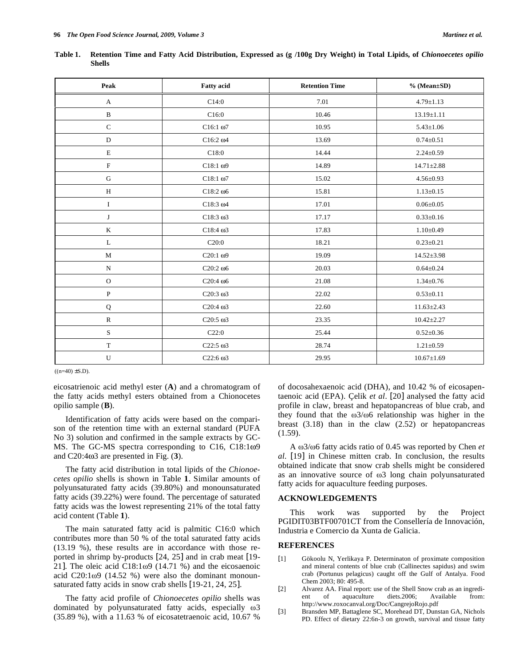| Peak         | <b>Fatty</b> acid | <b>Retention Time</b> | $% (Mean \pm SD)$ |
|--------------|-------------------|-----------------------|-------------------|
| $\mathbf{A}$ | C14:0             | 7.01                  | $4.79 \pm 1.13$   |
| $\, {\bf B}$ | C16:0             | 10.46                 | $13.19 \pm 1.11$  |
| $\mathsf C$  | $C16:1\omega$ 7   | 10.95                 | $5.43 \pm 1.06$   |
| ${\bf D}$    | $C16:2\omega4$    | 13.69                 | $0.74 \pm 0.51$   |
| $\mathbf E$  | C18:0             | 14.44                 | $2.24 \pm 0.59$   |
| ${\bf F}$    | $C18:1\omega9$    | 14.89                 | $14.71 \pm 2.88$  |
| ${\bf G}$    | $C18:1\omega$ 7   | 15.02                 | $4.56 \pm 0.93$   |
| $\, {\rm H}$ | $C18:2\omega$     | 15.81                 | $1.13 \pm 0.15$   |
| $\rm I$      | $C18:3 \omega4$   | 17.01                 | $0.06 \pm 0.05$   |
| J            | $C18:3\omega3$    | 17.17                 | $0.33 \pm 0.16$   |
| $\bf K$      | $C18:4\omega3$    | 17.83                 | $1.10 \pm 0.49$   |
| $\mathbf L$  | C20:0             | 18.21                 | $0.23 \pm 0.21$   |
| $\mathbf{M}$ | $C20:1\omega9$    | 19.09                 | $14.52 \pm 3.98$  |
| ${\bf N}$    | $C20:2\omega$     | 20.03                 | $0.64 \pm 0.24$   |
| $\mathbf{O}$ | $C20:4\omega$     | 21.08                 | $1.34 \pm 0.76$   |
| ${\bf P}$    | $C20:3\omega3$    | 22.02                 | $0.53 \pm 0.11$   |
| $\mathbf Q$  | $C20:4\omega$ 3   | 22.60                 | $11.63 \pm 2.43$  |
| ${\bf R}$    | $C20:5 \omega3$   | 23.35                 | $10.42 \pm 2.27$  |
| $\mathbf S$  | C22:0             | 25.44                 | $0.52 \pm 0.36$   |
| $\mathbf T$  | $C22:5 \omega3$   | 28.74                 | $1.21 \pm 0.59$   |
| U            | $C22:6\omega3$    | 29.95                 | $10.67 \pm 1.69$  |

**Table 1. Retention Time and Fatty Acid Distribution, Expressed as (g /100g Dry Weight) in Total Lipids, of** *Chionoecetes opilio* **Shells** 

 $((n=40) \pm S.D).$ 

eicosatrienoic acid methyl ester (**A**) and a chromatogram of the fatty acids methyl esters obtained from a Chionocetes opilio sample (**B**).

Identification of fatty acids were based on the comparison of the retention time with an external standard (PUFA No 3) solution and confirmed in the sample extracts by GC-MS. The GC-MS spectra corresponding to C16,  $C18:109$ and  $C20:4\omega3$  are presented in Fig.  $(3)$ .

The fatty acid distribution in total lipids of the *Chionoecetes opilio* shells is shown in Table **1**. Similar amounts of polyunsaturated fatty acids (39.80%) and monounsaturated fatty acids (39.22%) were found. The percentage of saturated fatty acids was the lowest representing 21% of the total fatty acid content (Table **1**).

The main saturated fatty acid is palmitic C16:0 which contributes more than 50 % of the total saturated fatty acids (13.19 %), these results are in accordance with those reported in shrimp by-products [24, 25] and in crab meat [19- 21]. The oleic acid  $C18:1\omega9$  (14.71 %) and the eicosaenoic acid  $C20:1\omega9$  (14.52 %) were also the dominant monounsaturated fatty acids in snow crab shells [19-21, 24, 25].

The fatty acid profile of *Chionoecetes opilio* shells was dominated by polyunsaturated fatty acids, especially  $\omega$ 3 (35.89 %), with a 11.63 % of eicosatetraenoic acid, 10.67 %

of docosahexaenoic acid (DHA), and 10.42 % of eicosapentaenoic acid (EPA). Çelik *et al*. [20] analysed the fatty acid profile in claw, breast and hepatopancreas of blue crab, and they found that the  $\omega$ 3/ $\omega$ 6 relationship was higher in the breast  $(3.18)$  than in the claw  $(2.52)$  or hepatopancreas  $(1.59)$ .

A  $\omega$ 3/ $\omega$ 6 fatty acids ratio of 0.45 was reported by Chen *et al*. [19] in Chinese mitten crab. In conclusion, the results obtained indicate that snow crab shells might be considered as an innovative source of  $\omega$ 3 long chain polyunsaturated fatty acids for aquaculture feeding purposes.

## **ACKNOWLEDGEMENTS**

This work was supported by the Project PGIDIT03BTF00701CT from the Consellería de Innovación, Industria e Comercio da Xunta de Galicia.

## **REFERENCES**

- [1] Gökoolu N, Yerlikaya P. Determinaton of proximate composition and mineral contents of blue crab (Callinectes sapidus) and swim crab (Portunus pelagicus) caught off the Gulf of Antalya. Food Chem 2003; 80: 495-8.
- [2] Alvarez AA. Final report: use of the Shell Snow crab as an ingredient of aquaculture diets.2006; Available from: http://www.roxocanval.org/Doc/CangrejoRojo.pdf
- [3] Bransden MP, Battaglene SC, Morehead DT, Dunstan GA, Nichols PD. Effect of dietary 22:6n-3 on growth, survival and tissue fatty